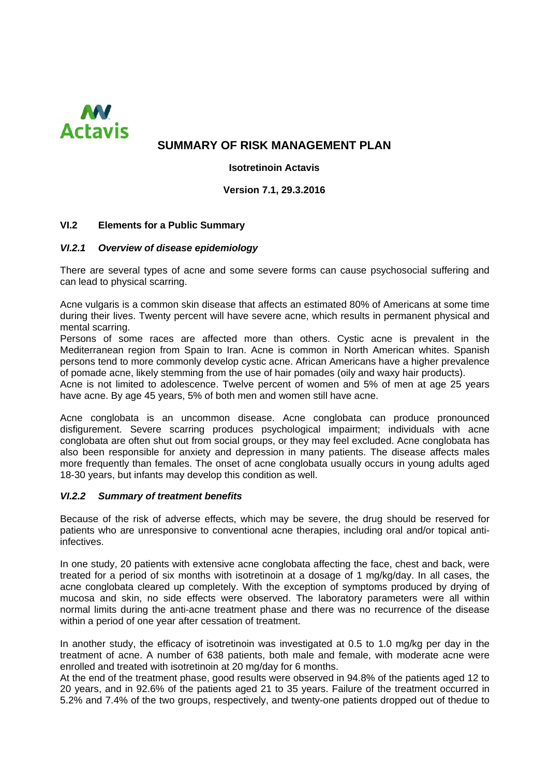

# **SUMMARY OF RISK MANAGEMENT PLAN**

**Isotretinoin Actavis** 

**Version 7.1, 29.3.2016**

## **VI.2 Elements for a Public Summary**

#### *VI.2.1 Overview of disease epidemiology*

There are several types of acne and some severe forms can cause psychosocial suffering and can lead to physical scarring.

Acne vulgaris is a common skin disease that affects an estimated 80% of Americans at some time during their lives. Twenty percent will have severe acne, which results in permanent physical and mental scarring.

Persons of some races are affected more than others. Cystic acne is prevalent in the Mediterranean region from Spain to Iran. Acne is common in North American whites. Spanish persons tend to more commonly develop cystic acne. African Americans have a higher prevalence of pomade acne, likely stemming from the use of hair pomades (oily and waxy hair products).

Acne is not limited to adolescence. Twelve percent of women and 5% of men at age 25 years have acne. By age 45 years, 5% of both men and women still have acne.

Acne conglobata is an uncommon disease. Acne conglobata can produce pronounced disfigurement. Severe scarring produces psychological impairment; individuals with acne conglobata are often shut out from social groups, or they may feel excluded. Acne conglobata has also been responsible for anxiety and depression in many patients. The disease affects males more frequently than females. The onset of acne conglobata usually occurs in young adults aged 18-30 years, but infants may develop this condition as well.

#### *VI.2.2 Summary of treatment benefits*

Because of the risk of adverse effects, which may be severe, the drug should be reserved for patients who are unresponsive to conventional acne therapies, including oral and/or topical antiinfectives.

In one study, 20 patients with extensive acne conglobata affecting the face, chest and back, were treated for a period of six months with isotretinoin at a dosage of 1 mg/kg/day. In all cases, the acne conglobata cleared up completely. With the exception of symptoms produced by drying of mucosa and skin, no side effects were observed. The laboratory parameters were all within normal limits during the anti-acne treatment phase and there was no recurrence of the disease within a period of one year after cessation of treatment.

In another study, the efficacy of isotretinoin was investigated at 0.5 to 1.0 mg/kg per day in the treatment of acne. A number of 638 patients, both male and female, with moderate acne were enrolled and treated with isotretinoin at 20 mg/day for 6 months.

At the end of the treatment phase, good results were observed in 94.8% of the patients aged 12 to 20 years, and in 92.6% of the patients aged 21 to 35 years. Failure of the treatment occurred in 5.2% and 7.4% of the two groups, respectively, and twenty-one patients dropped out of thedue to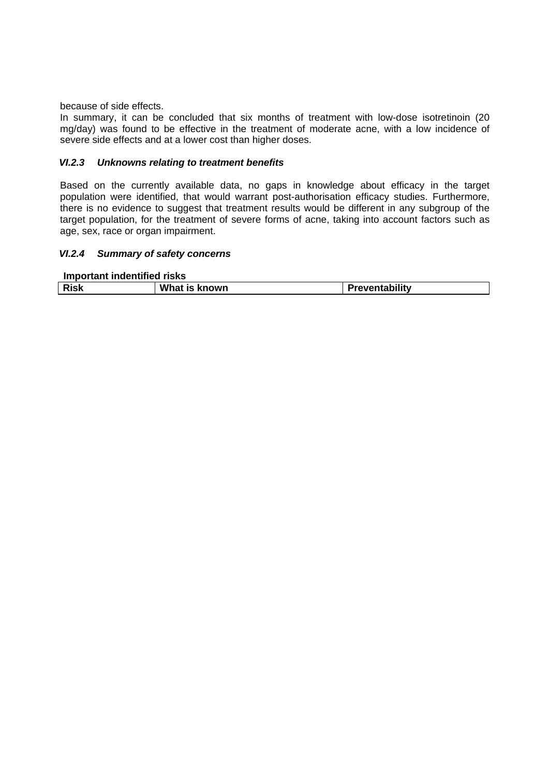because of side effects.

In summary, it can be concluded that six months of treatment with low-dose isotretinoin (20 mg/day) was found to be effective in the treatment of moderate acne, with a low incidence of severe side effects and at a lower cost than higher doses.

#### *VI.2.3 Unknowns relating to treatment benefits*

Based on the currently available data, no gaps in knowledge about efficacy in the target population were identified, that would warrant post-authorisation efficacy studies. Furthermore, there is no evidence to suggest that treatment results would be different in any subgroup of the target population, for the treatment of severe forms of acne, taking into account factors such as age, sex, race or organ impairment.

#### *VI.2.4 Summary of safety concerns*

**Important indentified risks**

| die. | What is known | Preventability |  |  |
|------|---------------|----------------|--|--|
|      |               |                |  |  |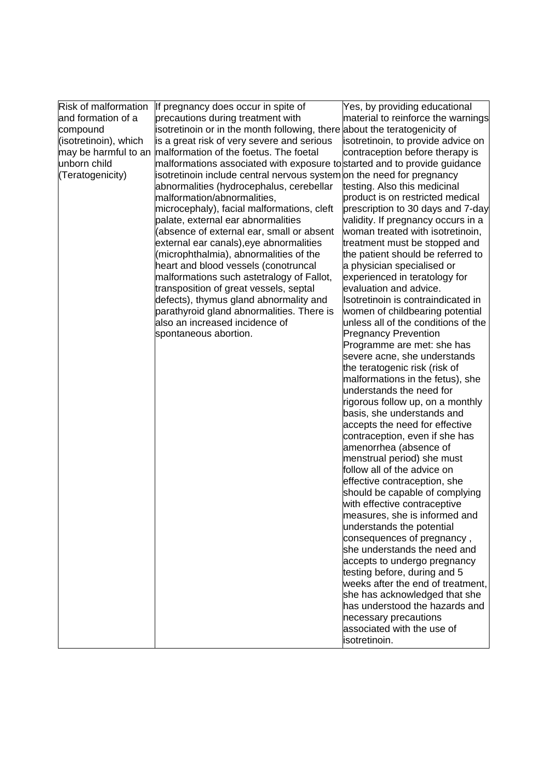| Risk of malformation  | If pregnancy does occur in spite of                                       | Yes, by providing educational       |
|-----------------------|---------------------------------------------------------------------------|-------------------------------------|
| and formation of a    | precautions during treatment with                                         | material to reinforce the warnings  |
| compound              | isotretinoin or in the month following, there about the teratogenicity of |                                     |
| (isotretinoin), which | is a great risk of very severe and serious                                | isotretinoin, to provide advice on  |
| may be harmful to an  | malformation of the foetus. The foetal                                    | contraception before therapy is     |
| unborn child          | malformations associated with exposure to started and to provide guidance |                                     |
| (Teratogenicity)      | isotretinoin include central nervous system on the need for pregnancy     |                                     |
|                       | abnormalities (hydrocephalus, cerebellar                                  | testing. Also this medicinal        |
|                       | malformation/abnormalities,                                               | product is on restricted medical    |
|                       | microcephaly), facial malformations, cleft                                | prescription to 30 days and 7-day   |
|                       | palate, external ear abnormalities                                        | validity. If pregnancy occurs in a  |
|                       | (absence of external ear, small or absent                                 | woman treated with isotretinoin,    |
|                       | external ear canals), eye abnormalities                                   | treatment must be stopped and       |
|                       | (microphthalmia), abnormalities of the                                    | the patient should be referred to   |
|                       | heart and blood vessels (conotruncal                                      | a physician specialised or          |
|                       | malformations such astetralogy of Fallot,                                 | experienced in teratology for       |
|                       | transposition of great vessels, septal                                    | evaluation and advice.              |
|                       | defects), thymus gland abnormality and                                    | Isotretinoin is contraindicated in  |
|                       | parathyroid gland abnormalities. There is                                 | women of childbearing potential     |
|                       | also an increased incidence of                                            | unless all of the conditions of the |
|                       | spontaneous abortion.                                                     | <b>Pregnancy Prevention</b>         |
|                       |                                                                           | Programme are met: she has          |
|                       |                                                                           | severe acne, she understands        |
|                       |                                                                           | the teratogenic risk (risk of       |
|                       |                                                                           | malformations in the fetus), she    |
|                       |                                                                           | understands the need for            |
|                       |                                                                           | rigorous follow up, on a monthly    |
|                       |                                                                           | basis, she understands and          |
|                       |                                                                           | accepts the need for effective      |
|                       |                                                                           | contraception, even if she has      |
|                       |                                                                           | amenorrhea (absence of              |
|                       |                                                                           | menstrual period) she must          |
|                       |                                                                           | follow all of the advice on         |
|                       |                                                                           | effective contraception, she        |
|                       |                                                                           | should be capable of complying      |
|                       |                                                                           | with effective contraceptive        |
|                       |                                                                           | measures, she is informed and       |
|                       |                                                                           | understands the potential           |
|                       |                                                                           | consequences of pregnancy,          |
|                       |                                                                           | she understands the need and        |
|                       |                                                                           | accepts to undergo pregnancy        |
|                       |                                                                           | testing before, during and 5        |
|                       |                                                                           | weeks after the end of treatment,   |
|                       |                                                                           | she has acknowledged that she       |
|                       |                                                                           | has understood the hazards and      |
|                       |                                                                           | necessary precautions               |
|                       |                                                                           | associated with the use of          |
|                       |                                                                           | isotretinoin.                       |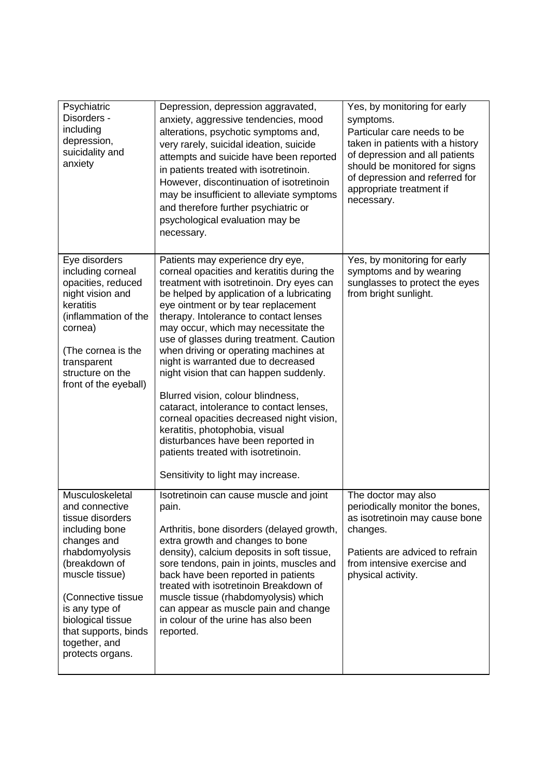| Psychiatric<br>Disorders -<br>including<br>depression,<br>suicidality and<br>anxiety                                                                                                                                                                                  | Depression, depression aggravated,<br>anxiety, aggressive tendencies, mood<br>alterations, psychotic symptoms and,<br>very rarely, suicidal ideation, suicide<br>attempts and suicide have been reported<br>in patients treated with isotretinoin.<br>However, discontinuation of isotretinoin<br>may be insufficient to alleviate symptoms<br>and therefore further psychiatric or<br>psychological evaluation may be<br>necessary.                                                                                                                                                                                                                                                                                                                       | Yes, by monitoring for early<br>symptoms.<br>Particular care needs to be<br>taken in patients with a history<br>of depression and all patients<br>should be monitored for signs<br>of depression and referred for<br>appropriate treatment if<br>necessary. |
|-----------------------------------------------------------------------------------------------------------------------------------------------------------------------------------------------------------------------------------------------------------------------|------------------------------------------------------------------------------------------------------------------------------------------------------------------------------------------------------------------------------------------------------------------------------------------------------------------------------------------------------------------------------------------------------------------------------------------------------------------------------------------------------------------------------------------------------------------------------------------------------------------------------------------------------------------------------------------------------------------------------------------------------------|-------------------------------------------------------------------------------------------------------------------------------------------------------------------------------------------------------------------------------------------------------------|
| Eye disorders<br>including corneal<br>opacities, reduced<br>night vision and<br>keratitis<br>(inflammation of the<br>cornea)<br>(The cornea is the<br>transparent<br>structure on the<br>front of the eyeball)                                                        | Patients may experience dry eye,<br>corneal opacities and keratitis during the<br>treatment with isotretinoin. Dry eyes can<br>be helped by application of a lubricating<br>eye ointment or by tear replacement<br>therapy. Intolerance to contact lenses<br>may occur, which may necessitate the<br>use of glasses during treatment. Caution<br>when driving or operating machines at<br>night is warranted due to decreased<br>night vision that can happen suddenly.<br>Blurred vision, colour blindness,<br>cataract, intolerance to contact lenses,<br>corneal opacities decreased night vision,<br>keratitis, photophobia, visual<br>disturbances have been reported in<br>patients treated with isotretinoin.<br>Sensitivity to light may increase. | Yes, by monitoring for early<br>symptoms and by wearing<br>sunglasses to protect the eyes<br>from bright sunlight.                                                                                                                                          |
| Musculoskeletal<br>and connective<br>tissue disorders<br>including bone<br>changes and<br>rhabdomyolysis<br>(breakdown of<br>muscle tissue)<br>(Connective tissue<br>is any type of<br>biological tissue<br>that supports, binds<br>together, and<br>protects organs. | Isotretinoin can cause muscle and joint<br>pain.<br>Arthritis, bone disorders (delayed growth,<br>extra growth and changes to bone<br>density), calcium deposits in soft tissue,<br>sore tendons, pain in joints, muscles and<br>back have been reported in patients<br>treated with isotretinoin Breakdown of<br>muscle tissue (rhabdomyolysis) which<br>can appear as muscle pain and change<br>in colour of the urine has also been<br>reported.                                                                                                                                                                                                                                                                                                        | The doctor may also<br>periodically monitor the bones.<br>as isotretinoin may cause bone<br>changes.<br>Patients are adviced to refrain<br>from intensive exercise and<br>physical activity.                                                                |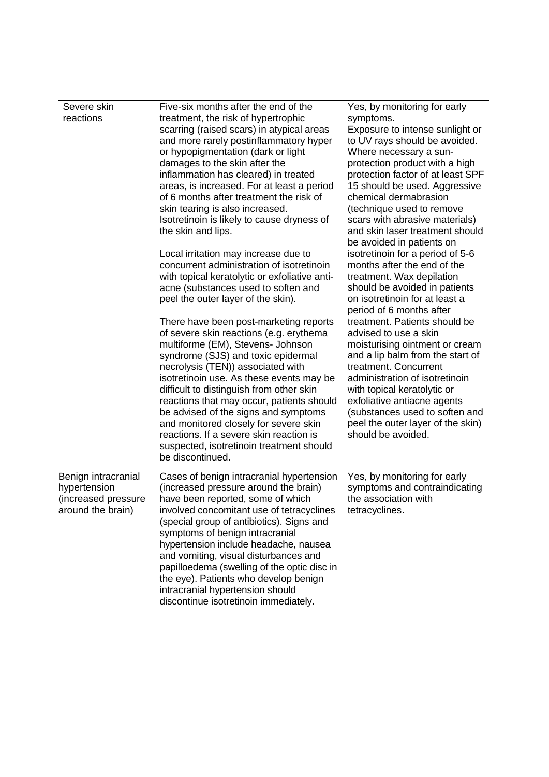| Severe skin<br>reactions                                                        | Five-six months after the end of the                                                                                                                                                                                                                                                                                                                                                                                                                                                                                                                                                                                                                                                                                                                                                                                                                                                                                                                                                                                                                                                                                                                                                               | Yes, by monitoring for early                                                                                                                                                                                                                                                                                                                                                                                                                                                                                                                                                                                                                                                                                                                                                                                                                                                                                                 |
|---------------------------------------------------------------------------------|----------------------------------------------------------------------------------------------------------------------------------------------------------------------------------------------------------------------------------------------------------------------------------------------------------------------------------------------------------------------------------------------------------------------------------------------------------------------------------------------------------------------------------------------------------------------------------------------------------------------------------------------------------------------------------------------------------------------------------------------------------------------------------------------------------------------------------------------------------------------------------------------------------------------------------------------------------------------------------------------------------------------------------------------------------------------------------------------------------------------------------------------------------------------------------------------------|------------------------------------------------------------------------------------------------------------------------------------------------------------------------------------------------------------------------------------------------------------------------------------------------------------------------------------------------------------------------------------------------------------------------------------------------------------------------------------------------------------------------------------------------------------------------------------------------------------------------------------------------------------------------------------------------------------------------------------------------------------------------------------------------------------------------------------------------------------------------------------------------------------------------------|
|                                                                                 | treatment, the risk of hypertrophic<br>scarring (raised scars) in atypical areas<br>and more rarely postinflammatory hyper<br>or hypopigmentation (dark or light<br>damages to the skin after the<br>inflammation has cleared) in treated<br>areas, is increased. For at least a period<br>of 6 months after treatment the risk of<br>skin tearing is also increased.<br>Isotretinoin is likely to cause dryness of<br>the skin and lips.<br>Local irritation may increase due to<br>concurrent administration of isotretinoin<br>with topical keratolytic or exfoliative anti-<br>acne (substances used to soften and<br>peel the outer layer of the skin).<br>There have been post-marketing reports<br>of severe skin reactions (e.g. erythema<br>multiforme (EM), Stevens- Johnson<br>syndrome (SJS) and toxic epidermal<br>necrolysis (TEN)) associated with<br>isotretinoin use. As these events may be<br>difficult to distinguish from other skin<br>reactions that may occur, patients should<br>be advised of the signs and symptoms<br>and monitored closely for severe skin<br>reactions. If a severe skin reaction is<br>suspected, isotretinoin treatment should<br>be discontinued. | symptoms.<br>Exposure to intense sunlight or<br>to UV rays should be avoided.<br>Where necessary a sun-<br>protection product with a high<br>protection factor of at least SPF<br>15 should be used. Aggressive<br>chemical dermabrasion<br>(technique used to remove<br>scars with abrasive materials)<br>and skin laser treatment should<br>be avoided in patients on<br>isotretinoin for a period of 5-6<br>months after the end of the<br>treatment. Wax depilation<br>should be avoided in patients<br>on isotretinoin for at least a<br>period of 6 months after<br>treatment. Patients should be<br>advised to use a skin<br>moisturising ointment or cream<br>and a lip balm from the start of<br>treatment. Concurrent<br>administration of isotretinoin<br>with topical keratolytic or<br>exfoliative antiacne agents<br>(substances used to soften and<br>peel the outer layer of the skin)<br>should be avoided. |
|                                                                                 |                                                                                                                                                                                                                                                                                                                                                                                                                                                                                                                                                                                                                                                                                                                                                                                                                                                                                                                                                                                                                                                                                                                                                                                                    |                                                                                                                                                                                                                                                                                                                                                                                                                                                                                                                                                                                                                                                                                                                                                                                                                                                                                                                              |
| Benign intracranial<br>hypertension<br>(increased pressure<br>around the brain) | Cases of benign intracranial hypertension<br>(increased pressure around the brain)<br>have been reported, some of which<br>involved concomitant use of tetracyclines<br>(special group of antibiotics). Signs and<br>symptoms of benign intracranial<br>hypertension include headache, nausea<br>and vomiting, visual disturbances and<br>papilloedema (swelling of the optic disc in<br>the eye). Patients who develop benign<br>intracranial hypertension should<br>discontinue isotretinoin immediately.                                                                                                                                                                                                                                                                                                                                                                                                                                                                                                                                                                                                                                                                                        | Yes, by monitoring for early<br>symptoms and contraindicating<br>the association with<br>tetracyclines.                                                                                                                                                                                                                                                                                                                                                                                                                                                                                                                                                                                                                                                                                                                                                                                                                      |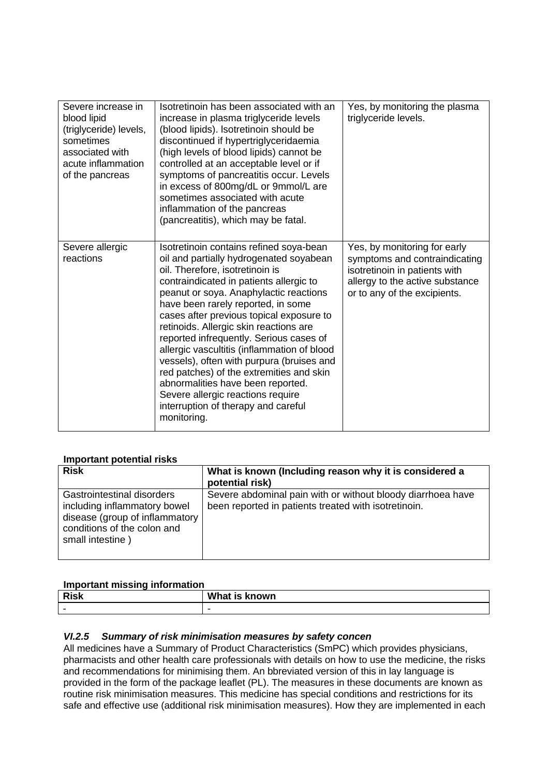| Severe increase in<br>blood lipid<br>(triglyceride) levels,<br>sometimes<br>associated with<br>acute inflammation<br>of the pancreas | Isotretinoin has been associated with an<br>increase in plasma triglyceride levels<br>(blood lipids). Isotretinoin should be<br>discontinued if hypertriglyceridaemia<br>(high levels of blood lipids) cannot be<br>controlled at an acceptable level or if<br>symptoms of pancreatitis occur. Levels<br>in excess of 800mg/dL or 9mmol/L are<br>sometimes associated with acute<br>inflammation of the pancreas<br>(pancreatitis), which may be fatal.                                                                                                                                                                                                   | Yes, by monitoring the plasma<br>triglyceride levels.                                                                                                             |
|--------------------------------------------------------------------------------------------------------------------------------------|-----------------------------------------------------------------------------------------------------------------------------------------------------------------------------------------------------------------------------------------------------------------------------------------------------------------------------------------------------------------------------------------------------------------------------------------------------------------------------------------------------------------------------------------------------------------------------------------------------------------------------------------------------------|-------------------------------------------------------------------------------------------------------------------------------------------------------------------|
| Severe allergic<br>reactions                                                                                                         | Isotretinoin contains refined soya-bean<br>oil and partially hydrogenated soyabean<br>oil. Therefore, isotretinoin is<br>contraindicated in patients allergic to<br>peanut or soya. Anaphylactic reactions<br>have been rarely reported, in some<br>cases after previous topical exposure to<br>retinoids. Allergic skin reactions are<br>reported infrequently. Serious cases of<br>allergic vascultitis (inflammation of blood<br>vessels), often with purpura (bruises and<br>red patches) of the extremities and skin<br>abnormalities have been reported.<br>Severe allergic reactions require<br>interruption of therapy and careful<br>monitoring. | Yes, by monitoring for early<br>symptoms and contraindicating<br>isotretinoin in patients with<br>allergy to the active substance<br>or to any of the excipients. |

## **Important potential risks**

| <b>Risk</b>                                                                                                                                       | What is known (Including reason why it is considered a<br>potential risk)                                           |
|---------------------------------------------------------------------------------------------------------------------------------------------------|---------------------------------------------------------------------------------------------------------------------|
| Gastrointestinal disorders<br>including inflammatory bowel<br>disease (group of inflammatory  <br>conditions of the colon and<br>small intestine) | Severe abdominal pain with or without bloody diarrhoea have<br>been reported in patients treated with isotretinoin. |

## **Important missing information**

| Dial<br>KISK             | What<br>known<br>$\sim$<br>51 |
|--------------------------|-------------------------------|
| $\overline{\phantom{0}}$ |                               |

## *VI.2.5 Summary of risk minimisation measures by safety concen*

All medicines have a Summary of Product Characteristics (SmPC) which provides physicians, pharmacists and other health care professionals with details on how to use the medicine, the risks and recommendations for minimising them. An bbreviated version of this in lay language is provided in the form of the package leaflet (PL). The measures in these documents are known as routine risk minimisation measures. This medicine has special conditions and restrictions for its safe and effective use (additional risk minimisation measures). How they are implemented in each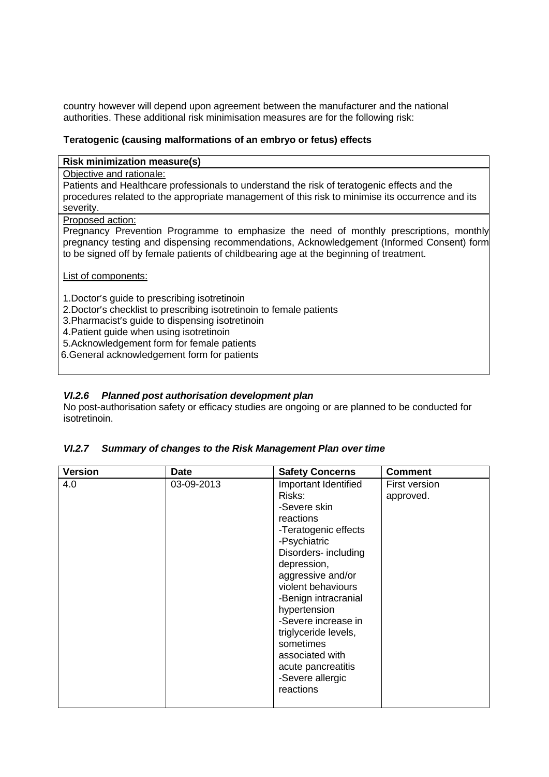country however will depend upon agreement between the manufacturer and the national authorities. These additional risk minimisation measures are for the following risk:

#### **Teratogenic (causing malformations of an embryo or fetus) effects**

#### **Risk minimization measure(s)**

Objective and rationale:

Patients and Healthcare professionals to understand the risk of teratogenic effects and the procedures related to the appropriate management of this risk to minimise its occurrence and its severity.

#### Proposed action:

Pregnancy Prevention Programme to emphasize the need of monthly prescriptions, monthly pregnancy testing and dispensing recommendations, Acknowledgement (Informed Consent) form to be signed off by female patients of childbearing age at the beginning of treatment.

List of components:

1.Doctor's guide to prescribing isotretinoin

2.Doctor's checklist to prescribing isotretinoin to female patients

3.Pharmacist's guide to dispensing isotretinoin

4.Patient guide when using isotretinoin

5.Acknowledgement form for female patients

6.General acknowledgement form for patients

## *VI.2.6 Planned post authorisation development plan*

No post-authorisation safety or efficacy studies are ongoing or are planned to be conducted for isotretinoin.

## *VI.2.7 Summary of changes to the Risk Management Plan over time*

| <b>Version</b> | <b>Date</b> | <b>Safety Concerns</b>                                                                                                                                                                                                                                                                                                                                              | <b>Comment</b>             |
|----------------|-------------|---------------------------------------------------------------------------------------------------------------------------------------------------------------------------------------------------------------------------------------------------------------------------------------------------------------------------------------------------------------------|----------------------------|
| 4.0            | 03-09-2013  | Important Identified<br>Risks:<br>-Severe skin<br>reactions<br>-Teratogenic effects<br>-Psychiatric<br>Disorders- including<br>depression,<br>aggressive and/or<br>violent behaviours<br>-Benign intracranial<br>hypertension<br>-Severe increase in<br>triglyceride levels,<br>sometimes<br>associated with<br>acute pancreatitis<br>-Severe allergic<br>reactions | First version<br>approved. |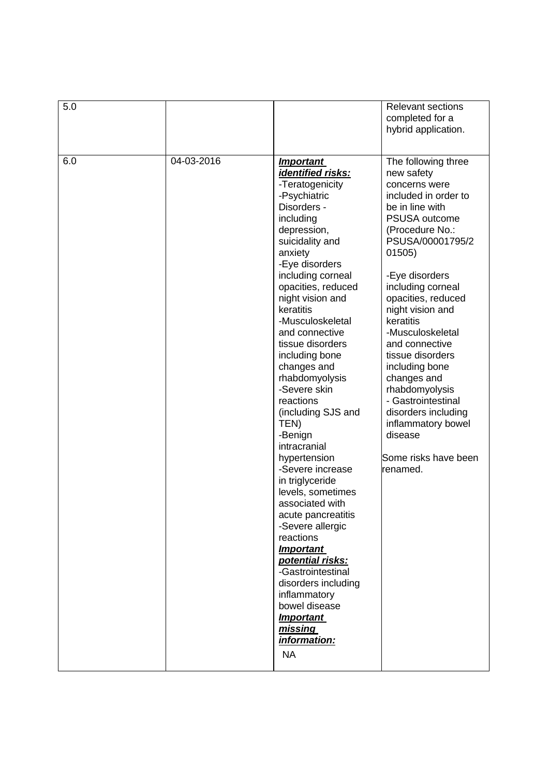| 5.0 |            |                                                                                                                                                                                                                                                                                                                                                                                                                                                                                                                                                                                                                                                                                                                                                                                                  | <b>Relevant sections</b><br>completed for a<br>hybrid application.                                                                                                                                                                                                                                                                                                                                                                                                                                  |
|-----|------------|--------------------------------------------------------------------------------------------------------------------------------------------------------------------------------------------------------------------------------------------------------------------------------------------------------------------------------------------------------------------------------------------------------------------------------------------------------------------------------------------------------------------------------------------------------------------------------------------------------------------------------------------------------------------------------------------------------------------------------------------------------------------------------------------------|-----------------------------------------------------------------------------------------------------------------------------------------------------------------------------------------------------------------------------------------------------------------------------------------------------------------------------------------------------------------------------------------------------------------------------------------------------------------------------------------------------|
| 6.0 | 04-03-2016 | <b>Important</b><br>identified risks:<br>-Teratogenicity<br>-Psychiatric<br>Disorders -<br>including<br>depression,<br>suicidality and<br>anxiety<br>-Eye disorders<br>including corneal<br>opacities, reduced<br>night vision and<br>keratitis<br>-Musculoskeletal<br>and connective<br>tissue disorders<br>including bone<br>changes and<br>rhabdomyolysis<br>-Severe skin<br>reactions<br>(including SJS and<br>TEN)<br>-Benign<br>intracranial<br>hypertension<br>-Severe increase<br>in triglyceride<br>levels, sometimes<br>associated with<br>acute pancreatitis<br>-Severe allergic<br>reactions<br><b>Important</b><br>potential risks:<br>-Gastrointestinal<br>disorders including<br>inflammatory<br>bowel disease<br><b>Important</b><br><u>missing</u><br>information:<br><b>NA</b> | The following three<br>new safety<br>concerns were<br>included in order to<br>be in line with<br><b>PSUSA outcome</b><br>(Procedure No.:<br>PSUSA/00001795/2<br>01505)<br>-Eye disorders<br>including corneal<br>opacities, reduced<br>night vision and<br>keratitis<br>-Musculoskeletal<br>and connective<br>tissue disorders<br>including bone<br>changes and<br>rhabdomyolysis<br>- Gastrointestinal<br>disorders including<br>inflammatory bowel<br>disease<br>Some risks have been<br>renamed. |